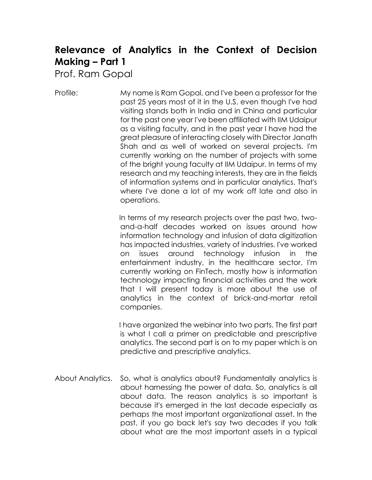## **Relevance of Analytics in the Context of Decision Making – Part 1**

Prof. Ram Gopal

Profile: My name is Ram Gopal, and I've been a professor for the past 25 years most of it in the U.S. even though I've had visiting stands both in India and in China and particular for the past one year I've been affiliated with IIM Udaipur as a visiting faculty, and in the past year I have had the great pleasure of interacting closely with Director Janath Shah and as well of worked on several projects. I'm currently working on the number of projects with some of the bright young faculty at IIM Udaipur. In terms of my research and my teaching interests, they are in the fields of information systems and in particular analytics. That's where I've done a lot of my work off late and also in operations.

> In terms of my research projects over the past two, twoand-a-half decades worked on issues around how information technology and infusion of data digitization has impacted industries, variety of industries. I've worked on issues around technology infusion in the entertainment industry, in the healthcare sector. I'm currently working on FinTech, mostly how is information technology impacting financial activities and the work that I will present today is more about the use of analytics in the context of brick-and-mortar retail companies.

> I have organized the webinar into two parts. The first part is what I call a primer on predictable and prescriptive analytics. The second part is on to my paper which is on predictive and prescriptive analytics.

About Analytics. So, what is analytics about? Fundamentally analytics is about harnessing the power of data. So, analytics is all about data. The reason analytics is so important is because it's emerged in the last decade especially as perhaps the most important organizational asset. In the past, if you go back let's say two decades if you talk about what are the most important assets in a typical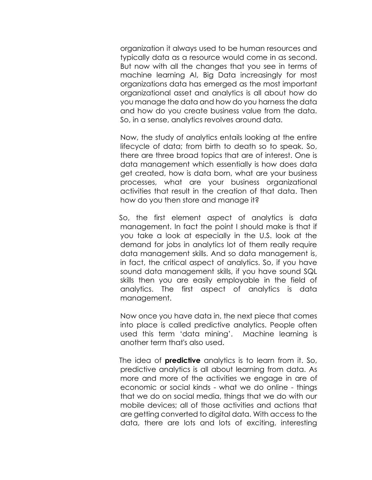organization it always used to be human resources and typically data as a resource would come in as second. But now with all the changes that you see in terms of machine learning AI, Big Data increasingly for most organizations data has emerged as the most important organizational asset and analytics is all about how do you manage the data and how do you harness the data and how do you create business value from the data. So, in a sense, analytics revolves around data.

Now, the study of analytics entails looking at the entire lifecycle of data; from birth to death so to speak. So, there are three broad topics that are of interest. One is data management which essentially is how does data get created, how is data born, what are your business processes, what are your business organizational activities that result in the creation of that data. Then how do you then store and manage it?

So, the first element aspect of analytics is data management. In fact the point I should make is that if you take a look at especially in the U.S. look at the demand for jobs in analytics lot of them really require data management skills. And so data management is, in fact, the critical aspect of analytics. So, if you have sound data management skills, if you have sound SQL skills then you are easily employable in the field of analytics. The first aspect of analytics is data management.

Now once you have data in, the next piece that comes into place is called predictive analytics. People often used this term 'data mining'. Machine learning is another term that's also used.

The idea of **predictive** analytics is to learn from it. So, predictive analytics is all about learning from data. As more and more of the activities we engage in are of economic or social kinds - what we do online - things that we do on social media, things that we do with our mobile devices; all of those activities and actions that are getting converted to digital data. With access to the data, there are lots and lots of exciting, interesting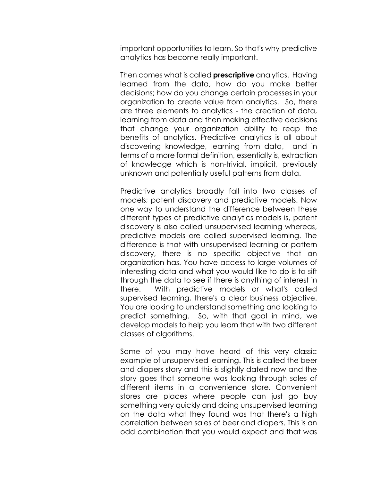important opportunities to learn. So that's why predictive analytics has become really important.

Then comes what is called **prescriptive** analytics. Having learned from the data, how do you make better decisions; how do you change certain processes in your organization to create value from analytics. So, there are three elements to analytics - the creation of data, learning from data and then making effective decisions that change your organization ability to reap the benefits of analytics. Predictive analytics is all about discovering knowledge, learning from data, and in terms of a more formal definition, essentially is, extraction of knowledge which is non-trivial, implicit, previously unknown and potentially useful patterns from data.

Predictive analytics broadly fall into two classes of models; patent discovery and predictive models. Now one way to understand the difference between these different types of predictive analytics models is, patent discovery is also called unsupervised learning whereas, predictive models are called supervised learning. The difference is that with unsupervised learning or pattern discovery, there is no specific objective that an organization has. You have access to large volumes of interesting data and what you would like to do is to sift through the data to see if there is anything of interest in there. With predictive models or what's called supervised learning, there's a clear business objective. You are looking to understand something and looking to predict something. So, with that goal in mind, we develop models to help you learn that with two different classes of algorithms.

Some of you may have heard of this very classic example of unsupervised learning. This is called the beer and diapers story and this is slightly dated now and the story goes that someone was looking through sales of different items in a convenience store. Convenient stores are places where people can just go buy something very quickly and doing unsupervised learning on the data what they found was that there's a high correlation between sales of beer and diapers. This is an odd combination that you would expect and that was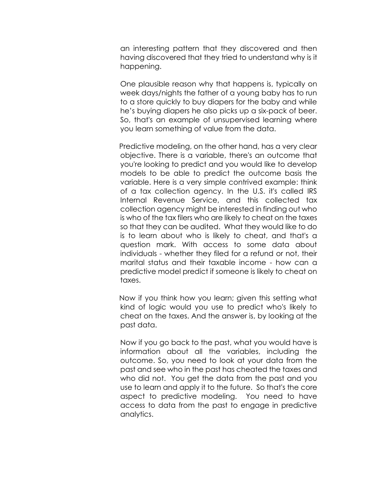an interesting pattern that they discovered and then having discovered that they tried to understand why is it happening.

One plausible reason why that happens is, typically on week days/nights the father of a young baby has to run to a store quickly to buy diapers for the baby and while he's buying diapers he also picks up a six-pack of beer. So, that's an example of unsupervised learning where you learn something of value from the data.

Predictive modeling, on the other hand, has a very clear objective. There is a variable, there's an outcome that you're looking to predict and you would like to develop models to be able to predict the outcome basis the variable. Here is a very simple contrived example: think of a tax collection agency. In the U.S. it's called IRS Internal Revenue Service, and this collected tax collection agency might be interested in finding out who is who of the tax filers who are likely to cheat on the taxes so that they can be audited. What they would like to do is to learn about who is likely to cheat, and that's a question mark. With access to some data about individuals - whether they filed for a refund or not, their marital status and their taxable income - how can a predictive model predict if someone is likely to cheat on taxes.

Now if you think how you learn; given this setting what kind of logic would you use to predict who's likely to cheat on the taxes. And the answer is, by looking at the past data.

Now if you go back to the past, what you would have is information about all the variables, including the outcome. So, you need to look at your data from the past and see who in the past has cheated the taxes and who did not. You get the data from the past and you use to learn and apply it to the future. So that's the core aspect to predictive modeling. You need to have access to data from the past to engage in predictive analytics.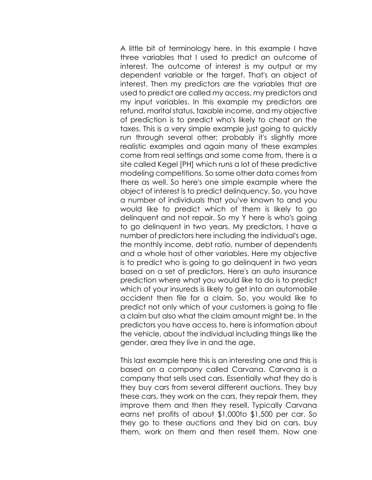A little bit of terminology here. In this example I have three variables that I used to predict an outcome of interest. The outcome of interest is my output or my dependent variable or the target. That's an object of interest. Then my predictors are the variables that are used to predict are called my access, my predictors and my input variables. In this example my predictors are refund, marital status, taxable income, and my objective of prediction is to predict who's likely to cheat on the taxes. This is a very simple example just going to quickly run through several other; probably it's slightly more realistic examples and again many of these examples come from real settings and some come from, there is a site called Kegel [PH] which runs a lot of these predictive modeling competitions. So some other data comes from there as well. So here's one simple example where the object of interest is to predict delinquency. So, you have a number of individuals that you've known to and you would like to predict which of them is likely to go delinquent and not repair. So my Y here is who's going to go delinquent in two years. My predictors, I have a number of predictors here including the individual's age, the monthly income, debt ratio, number of dependents and a whole host of other variables. Here my objective is to predict who is going to go delinquent in two years based on a set of predictors. Here's an auto insurance prediction where what you would like to do is to predict which of your insureds is likely to get into an automobile accident then file for a claim. So, you would like to predict not only which of your customers is going to file a claim but also what the claim amount might be. In the predictors you have access to, here is information about the vehicle, about the individual including things like the gender, area they live in and the age.

This last example here this is an interesting one and this is based on a company called Carvana. Carvana is a company that sells used cars. Essentially what they do is they buy cars from several different auctions. They buy these cars, they work on the cars, they repair them, they improve them and then they resell. Typically Carvana earns net profits of about \$1,000to \$1,500 per car. So they go to these auctions and they bid on cars, buy them, work on them and then resell them. Now one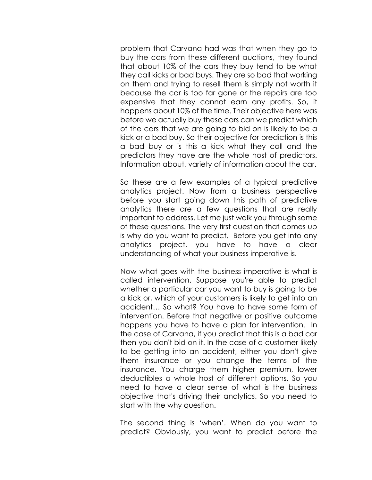problem that Carvana had was that when they go to buy the cars from these different auctions, they found that about 10% of the cars they buy tend to be what they call kicks or bad buys. They are so bad that working on them and trying to resell them is simply not worth it because the car is too far gone or the repairs are too expensive that they cannot earn any profits. So, it happens about 10% of the time. Their objective here was before we actually buy these cars can we predict which of the cars that we are going to bid on is likely to be a kick or a bad buy. So their objective for prediction is this a bad buy or is this a kick what they call and the predictors they have are the whole host of predictors. Information about, variety of information about the car.

So these are a few examples of a typical predictive analytics project. Now from a business perspective before you start going down this path of predictive analytics there are a few questions that are really important to address. Let me just walk you through some of these questions. The very first question that comes up is why do you want to predict. Before you get into any analytics project, you have to have a clear understanding of what your business imperative is.

Now what goes with the business imperative is what is called intervention. Suppose you're able to predict whether a particular car you want to buy is going to be a kick or, which of your customers is likely to get into an accident… So what? You have to have some form of intervention. Before that negative or positive outcome happens you have to have a plan for intervention. In the case of Carvana, if you predict that this is a bad car then you don't bid on it. In the case of a customer likely to be getting into an accident, either you don't give them insurance or you change the terms of the insurance. You charge them higher premium, lower deductibles a whole host of different options. So you need to have a clear sense of what is the business objective that's driving their analytics. So you need to start with the why question.

The second thing is 'when'. When do you want to predict? Obviously, you want to predict before the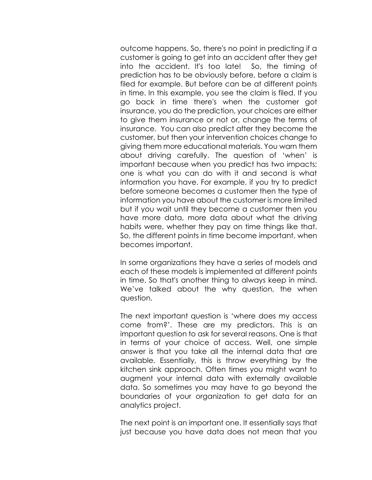outcome happens. So, there's no point in predicting if a customer is going to get into an accident after they get into the accident. It's too late! So, the timing of prediction has to be obviously before, before a claim is filed for example. But before can be at different points in time. In this example, you see the claim is filed. If you go back in time there's when the customer got insurance, you do the prediction, your choices are either to give them insurance or not or, change the terms of insurance. You can also predict after they become the customer, but then your intervention choices change to giving them more educational materials. You warn them about driving carefully. The question of 'when' is important because when you predict has two impacts; one is what you can do with it and second is what information you have. For example, if you try to predict before someone becomes a customer then the type of information you have about the customer is more limited but if you wait until they become a customer then you have more data, more data about what the driving habits were, whether they pay on time things like that. So, the different points in time become important, when becomes important.

In some organizations they have a series of models and each of these models is implemented at different points in time. So that's another thing to always keep in mind. We've talked about the why question, the when question.

The next important question is 'where does my access come from?'. These are my predictors. This is an important question to ask for several reasons. One is that in terms of your choice of access. Well, one simple answer is that you take all the internal data that are available. Essentially, this is throw everything by the kitchen sink approach. Often times you might want to augment your internal data with externally available data. So sometimes you may have to go beyond the boundaries of your organization to get data for an analytics project.

The next point is an important one. It essentially says that just because you have data does not mean that you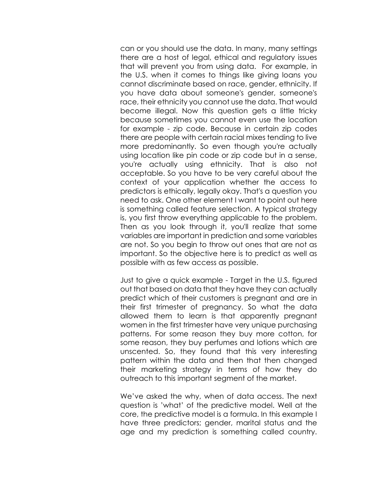can or you should use the data. In many, many settings there are a host of legal, ethical and regulatory issues that will prevent you from using data. For example, in the U.S. when it comes to things like giving loans you cannot discriminate based on race, gender, ethnicity. If you have data about someone's gender, someone's race, their ethnicity you cannot use the data. That would become illegal. Now this question gets a little tricky because sometimes you cannot even use the location for example - zip code. Because in certain zip codes there are people with certain racial mixes tending to live more predominantly. So even though you're actually using location like pin code or zip code but in a sense, you're actually using ethnicity. That is also not acceptable. So you have to be very careful about the context of your application whether the access to predictors is ethically, legally okay. That's a question you need to ask. One other element I want to point out here is something called feature selection. A typical strategy is, you first throw everything applicable to the problem. Then as you look through it, you'll realize that some variables are important in prediction and some variables are not. So you begin to throw out ones that are not as important. So the objective here is to predict as well as possible with as few access as possible.

Just to give a quick example - Target in the U.S. figured out that based on data that they have they can actually predict which of their customers is pregnant and are in their first trimester of pregnancy. So what the data allowed them to learn is that apparently pregnant women in the first trimester have very unique purchasing patterns. For some reason they buy more cotton, for some reason, they buy perfumes and lotions which are unscented. So, they found that this very interesting pattern within the data and then that then changed their marketing strategy in terms of how they do outreach to this important segment of the market.

We've asked the why, when of data access. The next question is 'what' of the predictive model. Well at the core, the predictive model is a formula. In this example I have three predictors; gender, marital status and the age and my prediction is something called country.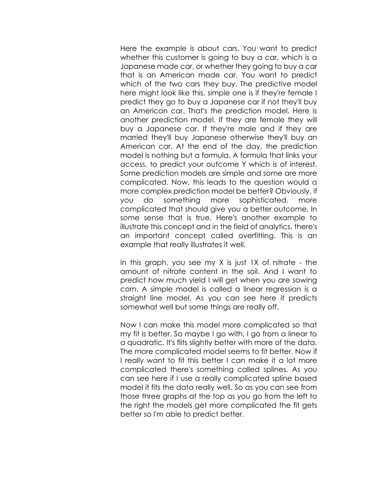Here the example is about cars. You want to predict whether this customer is going to buy a car, which is a Japanese made car, or whether they going to buy a car that is an American made car. You want to predict which of the two cars they buy. The predictive model here might look like this, simple one is if they're female I predict they go to buy a Japanese car if not they'll buy an American car. That's the prediction model. Here is another prediction model. If they are female they will buy a Japanese car. If they're male and if they are married they'll buy Japanese otherwise they'll buy an American car. At the end of the day, the prediction model is nothing but a formula. A formula that links your access, to predict your outcome Y which is of interest. Some prediction models are simple and some are more complicated. Now, this leads to the question would a more complex prediction model be better? Obviously, if you do something more sophisticated, more complicated that should give you a better outcome. In some sense that is true. Here's another example to illustrate this concept and in the field of analytics, there's an important concept called overfitting. This is an example that really illustrates it well.

In this graph, you see my X is just 1X of nitrate - the amount of nitrate content in the soil. And I want to predict how much yield I will get when you are sowing corn. A simple model is called a linear regression is a straight line model. As you can see here it predicts somewhat well but some things are really off.

Now I can make this model more complicated so that my fit is better. So maybe I go with, I go from a linear to a quadratic. It's flits slightly better with more of the data. The more complicated model seems to fit better. Now if I really want to fit this better I can make it a lot more complicated there's something called splines. As you can see here if I use a really complicated spline based model it fits the data really well. So as you can see from those three graphs at the top as you go from the left to the right the models get more complicated the fit gets better so I'm able to predict better.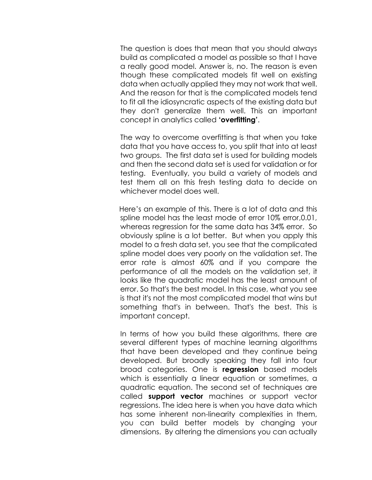The question is does that mean that you should always build as complicated a model as possible so that I have a really good model. Answer is, no. The reason is even though these complicated models fit well on existing data when actually applied they may not work that well. And the reason for that is the complicated models tend to fit all the idiosyncratic aspects of the existing data but they don't generalize them well. This an important concept in analytics called **'overfitting'**.

The way to overcome overfitting is that when you take data that you have access to, you split that into at least two groups. The first data set is used for building models and then the second data set is used for validation or for testing. Eventually, you build a variety of models and test them all on this fresh testing data to decide on whichever model does well.

Here's an example of this. There is a lot of data and this spline model has the least mode of error 10% error,0.01, whereas regression for the same data has 34% error. So obviously spline is a lot better. But when you apply this model to a fresh data set, you see that the complicated spline model does very poorly on the validation set. The error rate is almost 60% and if you compare the performance of all the models on the validation set, it looks like the quadratic model has the least amount of error. So that's the best model. In this case, what you see is that it's not the most complicated model that wins but something that's in between. That's the best. This is important concept.

In terms of how you build these algorithms, there are several different types of machine learning algorithms that have been developed and they continue being developed. But broadly speaking they fall into four broad categories. One is **regression** based models which is essentially a linear equation or sometimes, a quadratic equation. The second set of techniques are called **support vector** machines or support vector regressions. The idea here is when you have data which has some inherent non-linearity complexities in them, you can build better models by changing your dimensions. By altering the dimensions you can actually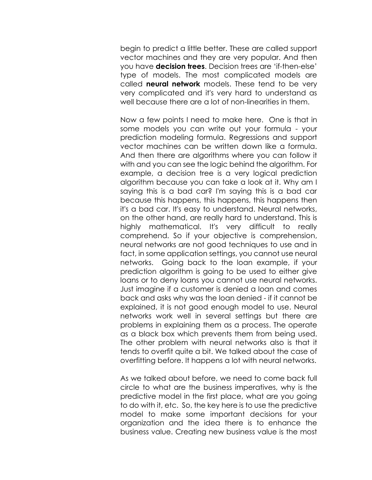begin to predict a little better. These are called support vector machines and they are very popular. And then you have **decision trees**. Decision trees are 'if-then-else' type of models. The most complicated models are called **neural network** models. These tend to be very very complicated and it's very hard to understand as well because there are a lot of non-linearities in them.

Now a few points I need to make here. One is that in some models you can write out your formula - your prediction modeling formula. Regressions and support vector machines can be written down like a formula. And then there are algorithms where you can follow it with and you can see the logic behind the algorithm. For example, a decision tree is a very logical prediction algorithm because you can take a look at it. Why am I saying this is a bad car? I'm saying this is a bad car because this happens, this happens, this happens then it's a bad car. It's easy to understand. Neural networks, on the other hand, are really hard to understand. This is highly mathematical. It's very difficult to really comprehend. So if your objective is comprehension, neural networks are not good techniques to use and in fact, in some application settings, you cannot use neural networks. Going back to the loan example, if your prediction algorithm is going to be used to either give loans or to deny loans you cannot use neural networks. Just imagine if a customer is denied a loan and comes back and asks why was the loan denied - if it cannot be explained, it is not good enough model to use. Neural networks work well in several settings but there are problems in explaining them as a process. The operate as a black box which prevents them from being used. The other problem with neural networks also is that it tends to overfit quite a bit. We talked about the case of overfitting before. It happens a lot with neural networks.

As we talked about before, we need to come back full circle to what are the business imperatives, why is the predictive model in the first place, what are you going to do with it, etc. So, the key here is to use the predictive model to make some important decisions for your organization and the idea there is to enhance the business value. Creating new business value is the most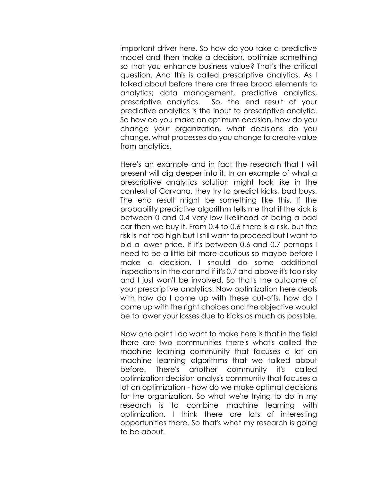important driver here. So how do you take a predictive model and then make a decision, optimize something so that you enhance business value? That's the critical question. And this is called prescriptive analytics. As I talked about before there are three broad elements to analytics; data management, predictive analytics, prescriptive analytics. So, the end result of your predictive analytics is the input to prescriptive analytic. So how do you make an optimum decision, how do you change your organization, what decisions do you change, what processes do you change to create value from analytics.

Here's an example and in fact the research that I will present will dig deeper into it. In an example of what a prescriptive analytics solution might look like in the context of Carvana, they try to predict kicks, bad buys. The end result might be something like this. If the probability predictive algorithm tells me that if the kick is between 0 and 0.4 very low likelihood of being a bad car then we buy it. From 0.4 to 0.6 there is a risk, but the risk is not too high but I still want to proceed but I want to bid a lower price. If it's between 0.6 and 0.7 perhaps I need to be a little bit more cautious so maybe before I make a decision, I should do some additional inspections in the car and if it's 0.7 and above it's too risky and I just won't be involved. So that's the outcome of your prescriptive analytics. Now optimization here deals with how do I come up with these cut-offs, how do I come up with the right choices and the objective would be to lower your losses due to kicks as much as possible.

Now one point I do want to make here is that in the field there are two communities there's what's called the machine learning community that focuses a lot on machine learning algorithms that we talked about before. There's another community it's called optimization decision analysis community that focuses a lot on optimization - how do we make optimal decisions for the organization. So what we're trying to do in my research is to combine machine learning with optimization. I think there are lots of interesting opportunities there. So that's what my research is going to be about.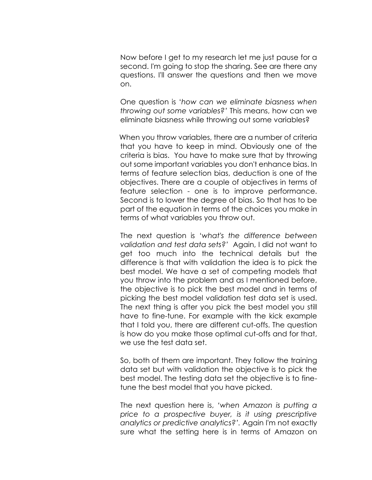Now before I get to my research let me just pause for a second. I'm going to stop the sharing. See are there any questions. I'll answer the questions and then we move on.

One question is '*how can we eliminate biasness when throwing out some variables?'* This means, how can we eliminate biasness while throwing out some variables?

When you throw variables, there are a number of criteria that you have to keep in mind. Obviously one of the criteria is bias. You have to make sure that by throwing out some important variables you don't enhance bias. In terms of feature selection bias, deduction is one of the objectives. There are a couple of objectives in terms of feature selection - one is to improve performance. Second is to lower the degree of bias. So that has to be part of the equation in terms of the choices you make in terms of what variables you throw out.

The next question is '*what's the difference between validation and test data sets?'* Again, I did not want to get too much into the technical details but the difference is that with validation the idea is to pick the best model. We have a set of competing models that you throw into the problem and as I mentioned before, the objective is to pick the best model and in terms of picking the best model validation test data set is used. The next thing is after you pick the best model you still have to fine-tune. For example with the kick example that I told you, there are different cut-offs. The question is how do you make those optimal cut-offs and for that, we use the test data set.

So, both of them are important. They follow the training data set but with validation the objective is to pick the best model. The testing data set the objective is to finetune the best model that you have picked.

The next question here is, *'when Amazon is putting a price to a prospective buyer, is it using prescriptive analytics or predictive analytics?'.* Again I'm not exactly sure what the setting here is in terms of Amazon on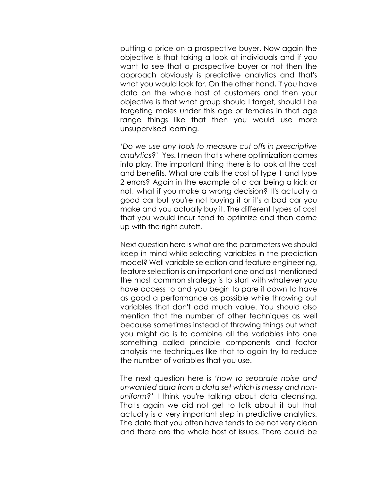putting a price on a prospective buyer. Now again the objective is that taking a look at individuals and if you want to see that a prospective buyer or not then the approach obviously is predictive analytics and that's what you would look for. On the other hand, if you have data on the whole host of customers and then your objective is that what group should I target, should I be targeting males under this age or females in that age range things like that then you would use more unsupervised learning.

*'Do we use any tools to measure cut offs in prescriptive analytics?*' Yes. I mean that's where optimization comes into play. The important thing there is to look at the cost and benefits. What are calls the cost of type 1 and type 2 errors? Again in the example of a car being a kick or not, what if you make a wrong decision? It's actually a good car but you're not buying it or it's a bad car you make and you actually buy it. The different types of cost that you would incur tend to optimize and then come up with the right cutoff.

Next question here is what are the parameters we should keep in mind while selecting variables in the prediction model? Well variable selection and feature engineering, feature selection is an important one and as I mentioned the most common strategy is to start with whatever you have access to and you begin to pare it down to have as good a performance as possible while throwing out variables that don't add much value. You should also mention that the number of other techniques as well because sometimes instead of throwing things out what you might do is to combine all the variables into one something called principle components and factor analysis the techniques like that to again try to reduce the number of variables that you use.

The next question here is *'how to separate noise and unwanted data from a data set which is messy and nonuniform?'* I think you're talking about data cleansing. That's again we did not get to talk about it but that actually is a very important step in predictive analytics. The data that you often have tends to be not very clean and there are the whole host of issues. There could be